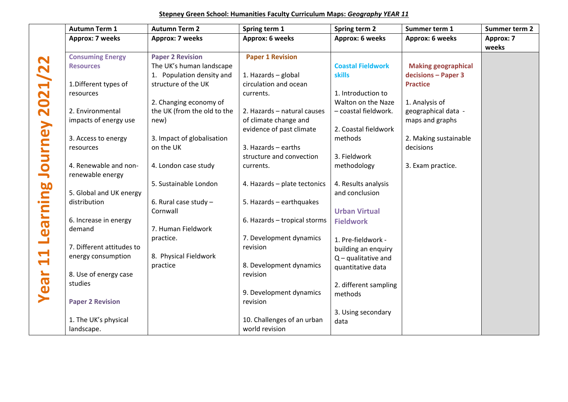## **Stepney Green School: Humanities Faculty Curriculum Maps:** *Geography YEAR 11*

| <b>Autumn Term 1</b>                      | <b>Autumn Term 2</b>        | Spring term 1                       | Spring term 2            | Summer term 1              | Summer term 2      |
|-------------------------------------------|-----------------------------|-------------------------------------|--------------------------|----------------------------|--------------------|
| <b>Approx: 7 weeks</b>                    | <b>Approx: 7 weeks</b>      | Approx: 6 weeks                     | Approx: 6 weeks          | Approx: 6 weeks            | Approx: 7<br>weeks |
| <b>Consuming Energy</b>                   | <b>Paper 2 Revision</b>     | <b>Paper 1 Revision</b>             |                          |                            |                    |
| <b>Resources</b>                          | The UK's human landscape    |                                     | <b>Coastal Fieldwork</b> | <b>Making geographical</b> |                    |
|                                           | 1. Population density and   | 1. Hazards - global                 | <b>skills</b>            | decisions - Paper 3        |                    |
| 1.Different types of                      | structure of the UK         | circulation and ocean               |                          | <b>Practice</b>            |                    |
| resources                                 |                             | currents.                           | 1. Introduction to       |                            |                    |
|                                           | 2. Changing economy of      |                                     | Walton on the Naze       | 1. Analysis of             |                    |
| 2. Environmental                          | the UK (from the old to the | 2. Hazards - natural causes         | - coastal fieldwork.     | geographical data -        |                    |
| impacts of energy use                     | new)                        | of climate change and               |                          | maps and graphs            |                    |
|                                           |                             | evidence of past climate            | 2. Coastal fieldwork     |                            |                    |
| 3. Access to energy                       | 3. Impact of globalisation  |                                     | methods                  | 2. Making sustainable      |                    |
| resources                                 | on the UK                   | 3. Hazards $-$ earths               |                          | decisions                  |                    |
|                                           |                             | structure and convection            | 3. Fieldwork             |                            |                    |
| 4. Renewable and non-<br>renewable energy | 4. London case study        | currents.                           | methodology              | 3. Exam practice.          |                    |
|                                           | 5. Sustainable London       | 4. Hazards - plate tectonics        | 4. Results analysis      |                            |                    |
| 5. Global and UK energy                   |                             |                                     | and conclusion           |                            |                    |
| distribution                              | 6. Rural case study $-$     | 5. Hazards - earthquakes            |                          |                            |                    |
|                                           | Cornwall                    |                                     | <b>Urban Virtual</b>     |                            |                    |
| 6. Increase in energy                     |                             | 6. Hazards - tropical storms        | <b>Fieldwork</b>         |                            |                    |
| demand                                    | 7. Human Fieldwork          |                                     |                          |                            |                    |
|                                           | practice.                   | 7. Development dynamics             | 1. Pre-fieldwork -       |                            |                    |
| 7. Different attitudes to                 |                             | revision                            | building an enquiry      |                            |                    |
| energy consumption                        | 8. Physical Fieldwork       |                                     | $Q$ – qualitative and    |                            |                    |
|                                           | practice                    | 8. Development dynamics             | quantitative data        |                            |                    |
| 8. Use of energy case                     |                             | revision                            |                          |                            |                    |
| studies                                   |                             |                                     | 2. different sampling    |                            |                    |
| <b>Paper 2 Revision</b>                   |                             | 9. Development dynamics<br>revision | methods                  |                            |                    |
|                                           |                             |                                     | 3. Using secondary       |                            |                    |
| 1. The UK's physical                      |                             | 10. Challenges of an urban          | data                     |                            |                    |
| landscape.                                |                             | world revision                      |                          |                            |                    |
|                                           |                             |                                     |                          |                            |                    |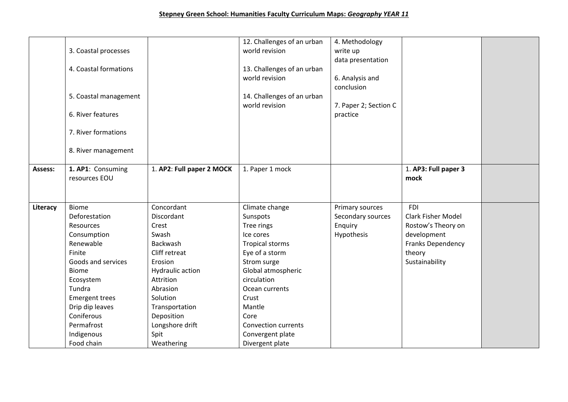|          | 3. Coastal processes<br>4. Coastal formations<br>5. Coastal management<br>6. River features<br>7. River formations<br>8. River management                                                                                                         |                                                                                                                                                                                                                             | 12. Challenges of an urban<br>world revision<br>13. Challenges of an urban<br>world revision<br>14. Challenges of an urban<br>world revision                                                                                                                            | 4. Methodology<br>write up<br>data presentation<br>6. Analysis and<br>conclusion<br>7. Paper 2; Section C<br>practice |                                                                                                                        |  |
|----------|---------------------------------------------------------------------------------------------------------------------------------------------------------------------------------------------------------------------------------------------------|-----------------------------------------------------------------------------------------------------------------------------------------------------------------------------------------------------------------------------|-------------------------------------------------------------------------------------------------------------------------------------------------------------------------------------------------------------------------------------------------------------------------|-----------------------------------------------------------------------------------------------------------------------|------------------------------------------------------------------------------------------------------------------------|--|
| Assess:  | 1. AP1: Consuming<br>resources EOU                                                                                                                                                                                                                | 1. AP2: Full paper 2 MOCK                                                                                                                                                                                                   | 1. Paper 1 mock                                                                                                                                                                                                                                                         |                                                                                                                       | 1. AP3: Full paper 3<br>mock                                                                                           |  |
| Literacy | <b>Biome</b><br>Deforestation<br>Resources<br>Consumption<br>Renewable<br>Finite<br>Goods and services<br><b>Biome</b><br>Ecosystem<br>Tundra<br><b>Emergent trees</b><br>Drip dip leaves<br>Coniferous<br>Permafrost<br>Indigenous<br>Food chain | Concordant<br><b>Discordant</b><br>Crest<br>Swash<br>Backwash<br>Cliff retreat<br>Erosion<br>Hydraulic action<br>Attrition<br>Abrasion<br>Solution<br>Transportation<br>Deposition<br>Longshore drift<br>Spit<br>Weathering | Climate change<br>Sunspots<br>Tree rings<br>Ice cores<br><b>Tropical storms</b><br>Eye of a storm<br>Strom surge<br>Global atmospheric<br>circulation<br>Ocean currents<br>Crust<br>Mantle<br>Core<br><b>Convection currents</b><br>Convergent plate<br>Divergent plate | Primary sources<br>Secondary sources<br>Enquiry<br>Hypothesis                                                         | <b>FDI</b><br>Clark Fisher Model<br>Rostow's Theory on<br>development<br>Franks Dependency<br>theory<br>Sustainability |  |